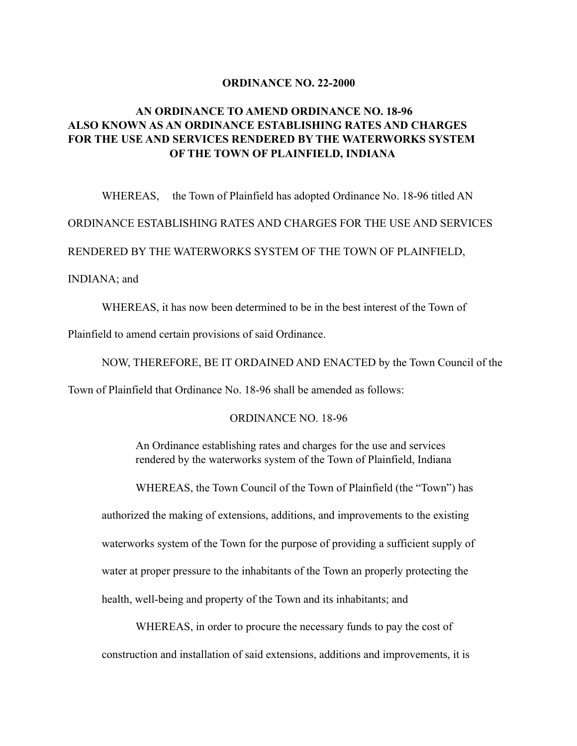### **ORDINANCE NO. 22-2000**

## **AN ORDINANCE TO AMEND ORDINANCE NO. 18-96 ALSO KNOWN AS AN ORDINANCE ESTABLISHING RATES AND CHARGES FOR THE USE AND SERVICES RENDERED BY THE WATERWORKS SYSTEM OF THE TOWN OF PLAINFIELD, INDIANA**

WHEREAS, the Town of Plainfield has adopted Ordinance No. 18-96 titled AN ORDINANCE ESTABLISHING RATES AND CHARGES FOR THE USE AND SERVICES RENDERED BY THE WATERWORKS SYSTEM OF THE TOWN OF PLAINFIELD, INDIANA; and

 WHEREAS, it has now been determined to be in the best interest of the Town of Plainfield to amend certain provisions of said Ordinance.

 NOW, THEREFORE, BE IT ORDAINED AND ENACTED by the Town Council of the Town of Plainfield that Ordinance No. 18-96 shall be amended as follows:

#### ORDINANCE NO. 18-96

 An Ordinance establishing rates and charges for the use and services rendered by the waterworks system of the Town of Plainfield, Indiana

WHEREAS, the Town Council of the Town of Plainfield (the "Town") has

 authorized the making of extensions, additions, and improvements to the existing waterworks system of the Town for the purpose of providing a sufficient supply of water at proper pressure to the inhabitants of the Town an properly protecting the health, well-being and property of the Town and its inhabitants; and

 WHEREAS, in order to procure the necessary funds to pay the cost of construction and installation of said extensions, additions and improvements, it is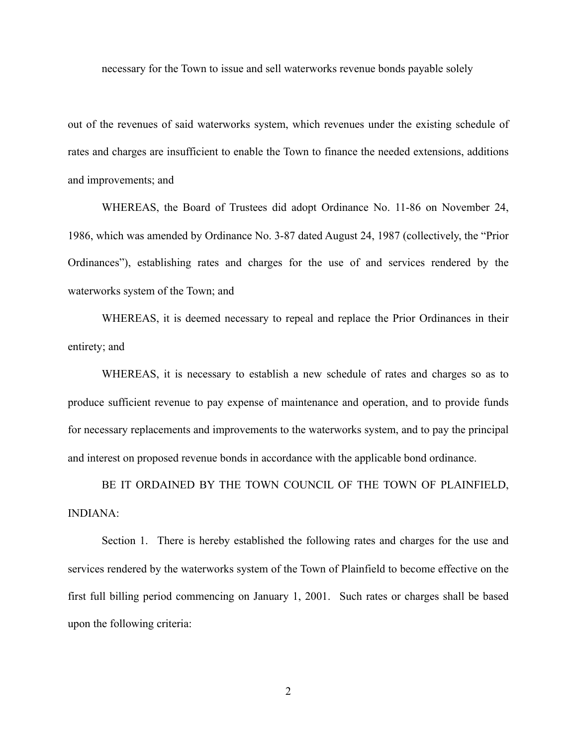necessary for the Town to issue and sell waterworks revenue bonds payable solely

out of the revenues of said waterworks system, which revenues under the existing schedule of rates and charges are insufficient to enable the Town to finance the needed extensions, additions and improvements; and

 WHEREAS, the Board of Trustees did adopt Ordinance No. 11-86 on November 24, 1986, which was amended by Ordinance No. 3-87 dated August 24, 1987 (collectively, the "Prior Ordinances"), establishing rates and charges for the use of and services rendered by the waterworks system of the Town; and

 WHEREAS, it is deemed necessary to repeal and replace the Prior Ordinances in their entirety; and

 WHEREAS, it is necessary to establish a new schedule of rates and charges so as to produce sufficient revenue to pay expense of maintenance and operation, and to provide funds for necessary replacements and improvements to the waterworks system, and to pay the principal and interest on proposed revenue bonds in accordance with the applicable bond ordinance.

 BE IT ORDAINED BY THE TOWN COUNCIL OF THE TOWN OF PLAINFIELD, INDIANA:

 Section 1. There is hereby established the following rates and charges for the use and services rendered by the waterworks system of the Town of Plainfield to become effective on the first full billing period commencing on January 1, 2001. Such rates or charges shall be based upon the following criteria:

2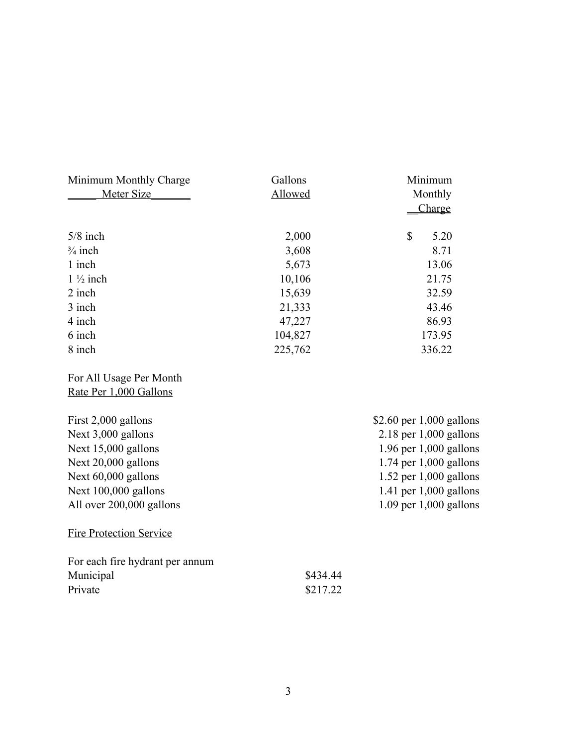| Minimum Monthly Charge  | Gallons | Minimum                    |
|-------------------------|---------|----------------------------|
| Meter Size              | Allowed | Monthly                    |
|                         |         | Charge                     |
| $5/8$ inch              | 2,000   | \$<br>5.20                 |
| $\frac{3}{4}$ inch      | 3,608   | 8.71                       |
| 1 inch                  | 5,673   | 13.06                      |
| $1\frac{1}{2}$ inch     | 10,106  | 21.75                      |
| 2 inch                  | 15,639  | 32.59                      |
| 3 inch                  | 21,333  | 43.46                      |
| 4 inch                  | 47,227  | 86.93                      |
| 6 inch                  | 104,827 | 173.95                     |
| 8 inch                  | 225,762 | 336.22                     |
| For All Usage Per Month |         |                            |
| Rate Per 1,000 Gallons  |         |                            |
| First 2,000 gallons     |         | \$2.60 per $1,000$ gallons |
| Next 3,000 gallons      |         | $2.18$ per 1,000 gallons   |

| Next $3,000$ gallons           | $2.18$ per 1,000 gallons   |
|--------------------------------|----------------------------|
| Next $15,000$ gallons          | $1.96$ per $1,000$ gallons |
| Next $20,000$ gallons          | $1.74$ per $1,000$ gallons |
| Next $60,000$ gallons          | $1.52$ per 1,000 gallons   |
| Next $100,000$ gallons         | 1.41 per $1,000$ gallons   |
| All over 200,000 gallons       | $1.09$ per $1,000$ gallons |
| <b>Fire Protection Service</b> |                            |

| For each fire hydrant per annum |          |
|---------------------------------|----------|
| Municipal                       | \$434.44 |
| Private                         | \$217.22 |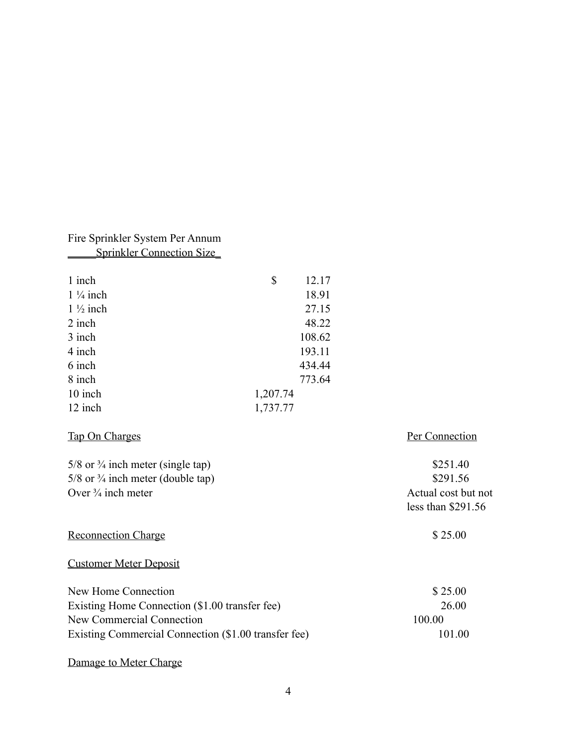## Fire Sprinkler System Per Annum \_\_\_\_\_Sprinkler Connection Size\_

| 1 inch              | 12.17<br>\$ |
|---------------------|-------------|
| $1\frac{1}{4}$ inch | 18.91       |
| $1\frac{1}{2}$ inch | 27.15       |
| 2 inch              | 48.22       |
| 3 inch              | 108.62      |
| 4 inch              | 193.11      |
| 6 inch              | 434.44      |
| 8 inch              | 773.64      |
| 10 inch             | 1,207.74    |
| 12 inch             | 1,737.77    |

## Tap On Charges Per Connection

5/8 or <sup>3</sup>/<sub>4</sub> inch meter (single tap) \$251.40  $5/8$  or  $\frac{3}{4}$  inch meter (double tap) \$291.56 Over <sup>3</sup>/<sub>4</sub> inch meter Actual cost but not less than \$291.56 Reconnection Charge \$ 25.00 Customer Meter Deposit New Home Connection  $\sim$  \$ 25.00

| $W = V \cdot V$ |
|-----------------|
| 26 00           |
| 100.00          |
| 101.00          |
|                 |

### Damage to Meter Charge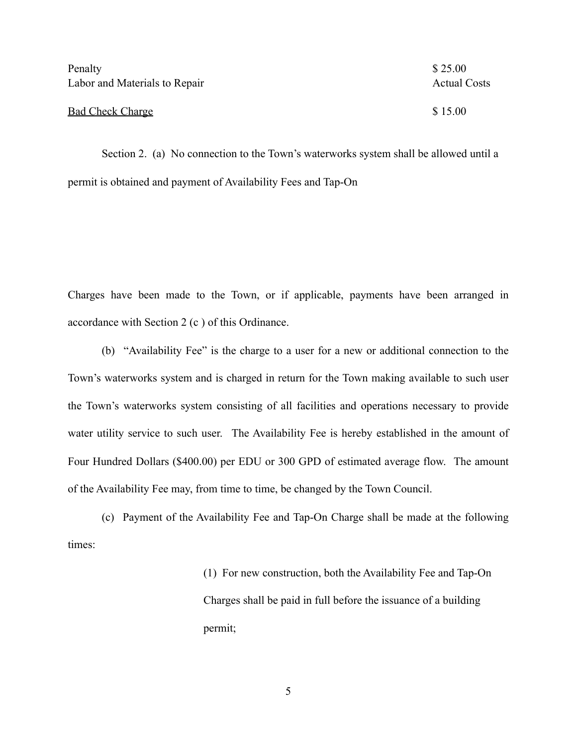| Penalty                       | \$25.00             |
|-------------------------------|---------------------|
| Labor and Materials to Repair | <b>Actual Costs</b> |
|                               |                     |
| <b>Bad Check Charge</b>       | \$15.00             |

 Section 2. (a) No connection to the Town's waterworks system shall be allowed until a permit is obtained and payment of Availability Fees and Tap-On

Charges have been made to the Town, or if applicable, payments have been arranged in accordance with Section 2 (c ) of this Ordinance.

 (b) "Availability Fee" is the charge to a user for a new or additional connection to the Town's waterworks system and is charged in return for the Town making available to such user the Town's waterworks system consisting of all facilities and operations necessary to provide water utility service to such user. The Availability Fee is hereby established in the amount of Four Hundred Dollars (\$400.00) per EDU or 300 GPD of estimated average flow. The amount of the Availability Fee may, from time to time, be changed by the Town Council.

 (c) Payment of the Availability Fee and Tap-On Charge shall be made at the following times:

> (1) For new construction, both the Availability Fee and Tap-On Charges shall be paid in full before the issuance of a building permit;

> > 5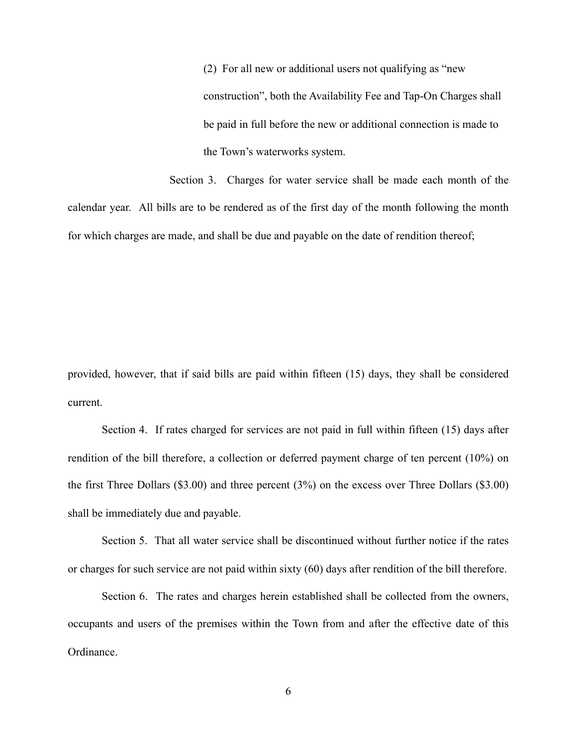(2) For all new or additional users not qualifying as "new construction", both the Availability Fee and Tap-On Charges shall be paid in full before the new or additional connection is made to the Town's waterworks system.

 Section 3. Charges for water service shall be made each month of the calendar year. All bills are to be rendered as of the first day of the month following the month for which charges are made, and shall be due and payable on the date of rendition thereof;

provided, however, that if said bills are paid within fifteen (15) days, they shall be considered current.

 Section 4. If rates charged for services are not paid in full within fifteen (15) days after rendition of the bill therefore, a collection or deferred payment charge of ten percent (10%) on the first Three Dollars (\$3.00) and three percent (3%) on the excess over Three Dollars (\$3.00) shall be immediately due and payable.

 Section 5. That all water service shall be discontinued without further notice if the rates or charges for such service are not paid within sixty (60) days after rendition of the bill therefore.

 Section 6. The rates and charges herein established shall be collected from the owners, occupants and users of the premises within the Town from and after the effective date of this Ordinance.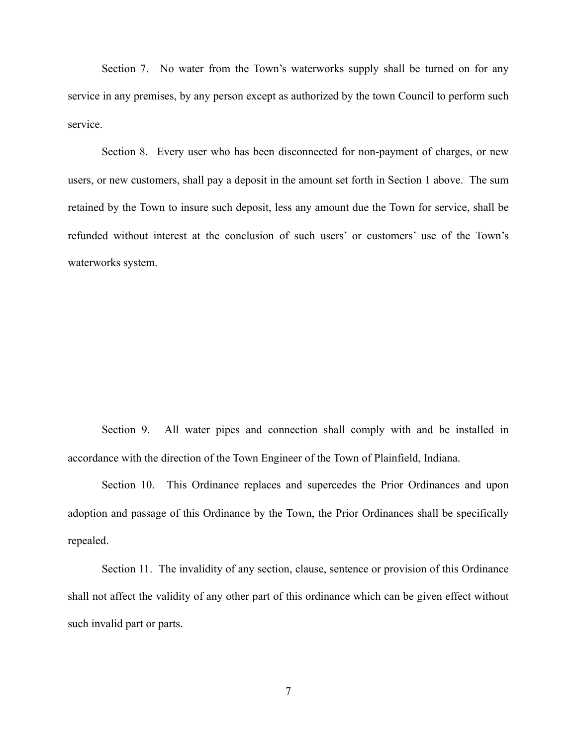Section 7. No water from the Town's waterworks supply shall be turned on for any service in any premises, by any person except as authorized by the town Council to perform such service.

 Section 8. Every user who has been disconnected for non-payment of charges, or new users, or new customers, shall pay a deposit in the amount set forth in Section 1 above. The sum retained by the Town to insure such deposit, less any amount due the Town for service, shall be refunded without interest at the conclusion of such users' or customers' use of the Town's waterworks system.

 Section 9. All water pipes and connection shall comply with and be installed in accordance with the direction of the Town Engineer of the Town of Plainfield, Indiana.

 Section 10. This Ordinance replaces and supercedes the Prior Ordinances and upon adoption and passage of this Ordinance by the Town, the Prior Ordinances shall be specifically repealed.

 Section 11. The invalidity of any section, clause, sentence or provision of this Ordinance shall not affect the validity of any other part of this ordinance which can be given effect without such invalid part or parts.